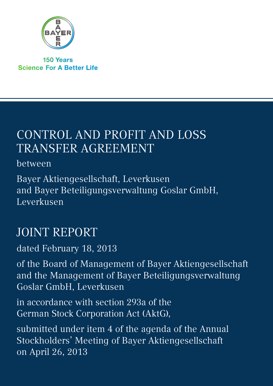

**150 Years Science For A Better Life** 

# Control and Profit and Loss Transfer Agreement

between

Bayer Aktiengesellschaft, Leverkusen and Bayer Beteiligungsverwaltung Goslar GmbH, Leverkusen

# JOINT REPORT

dated February 18, 2013

of the Board of Management of Bayer Aktiengesellschaft and the Management of Bayer Beteiligungsverwaltung Goslar GmbH, Leverkusen

in accordance with section 293a of the German Stock Corporation Act (AktG),

submitted under item 4 of the agenda of the Annual Stockholders' Meeting of Bayer Aktiengesellschaft on April 26, 2013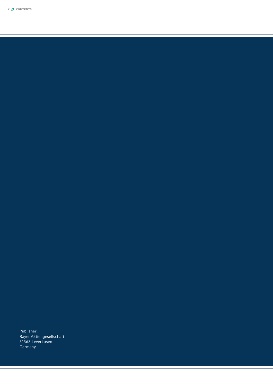Publisher: Bayer Aktiengesellschaft 51368 Leverkusen Germany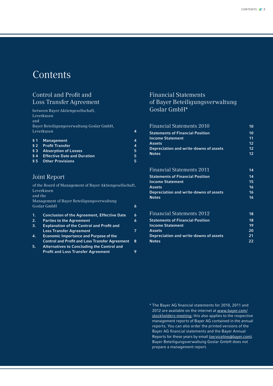# **Contents**

## Control and Profit and Loss Transfer Agreement

between Bayer Aktiengesellschaft, Leverkusen and Bayer Beteiligungsverwaltung Goslar GmbH, Leverkusen 4

| § 1 Management                        | Δ |
|---------------------------------------|---|
| § 2 Profit Transfer                   | Δ |
| § 3 Absorption of Losses              | 5 |
| <b>§4</b> Effective Date and Duration | 5 |
| § 5 Other Provisions                  | 5 |

### Joint Report

of the Board of Management of Bayer Aktiengesellschaft, Leverkusen and the Management of Bayer Beteiligungsverwaltung Goslar GmbH 6 1. Conclusion of the Agreement, Effective Date 6 2. Parties to the Agreement **6** 

- 3. Explanation of the Control and Profit and Loss Transfer Agreement **7** 2008 7
- 4. Economic Importance and Purpose of the Control and Profit and Loss Transfer Agreement 8 5. Alternatives to Concluding the Control and
	- Profit and Loss Transfer Agreement 9

## Financial Statements of Bayer Beteiligungsverwaltung Goslar GmbH\*

| <b>Financial Statements 2010</b>        | 10 |
|-----------------------------------------|----|
| <b>Statements of Financial Position</b> | 10 |
| <b>Income Statement</b>                 | 11 |
| <b>Assets</b>                           | 12 |
| Depreciation and write-downs of assets  | 12 |
| <b>Notes</b>                            | 12 |
|                                         |    |
|                                         |    |

## Financial Statements 2011 14

| <b>Statements of Financial Position</b> | 14 |
|-----------------------------------------|----|
| <b>Income Statement</b>                 | 15 |
| <b>Assets</b>                           | 16 |
| Depreciation and write-downs of assets  | 16 |
| <b>Notes</b>                            | 16 |
| Financial Statements 2012               | 18 |
|                                         | 18 |
| <b>Statements of Financial Position</b> |    |
| <b>Income Statement</b>                 | 19 |
| <b>Assets</b>                           | 20 |
| Depreciation and write-downs of assets  |    |

**Notes** 22

\* The Bayer AG financial statements for 2010, 2011 and 2012 are available on the internet at www.bayer.com/ stockholders-meeting; this also applies to the respective management reports of Bayer AG contained in the annual reports. You can also order the printed versions of the Bayer AG financial statements and the Bayer Annual Reports for these years by email (serviceline@bayer.com). Bayer Beteiligungsverwaltung Goslar GmbH does not prepare a management report.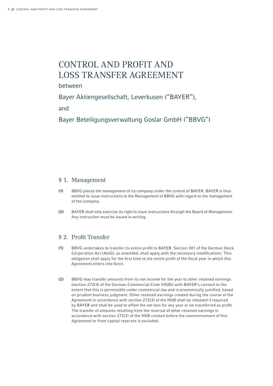# CONTROL AND PROFIT AND Loss Transfer Agreement

between

Bayer Aktiengesellschaft, Leverkusen ("BAYER"),

and

Bayer Beteiligungsverwaltung Goslar GmbH ("BBVG")

#### § 1. Management

- (1) BBVG places the management of its company under the control of BAYER. BAYER is thus entitled to issue instructions to the Management of BBVG with regard to the management of the company.
- (2) BAYER shall only exercise its right to issue instructions through the Board of Management. Any instruction must be issued in writing.

#### § 2. Profit Transfer

- (1) BBVG undertakes to transfer its entire profit to BAYER. Section 301 of the German Stock Corporation Act (AktG), as amended, shall apply with the necessary modifications. This obligation shall apply for the first time to the entire profit of the fiscal year in which this Agreement enters into force.
- (2) BBVG may transfer amounts from its net income for the year to other retained earnings (section 272(3) of the German Commercial Code (HGB)) with BAYER's consent to the extent that this is permissible under commercial law and is economically justified, based on prudent business judgment. Other retained earnings created during the course of the Agreement in accordance with section 272(3) of the HGB shall be released if required by BAYER and shall be used to offset the net loss for any year or be transferred as profit. The transfer of amounts resulting from the reversal of other retained earnings in accordance with section 272(3) of the HGB created before the commencement of this Agreement or from capital reserves is excluded.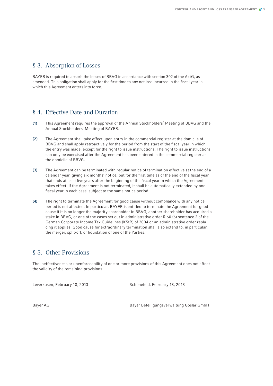#### § 3. Absorption of Losses

BAYER is required to absorb the losses of BBVG in accordance with section 302 of the AktG, as amended. This obligation shall apply for the first time to any net loss incurred in the fiscal year in which this Agreement enters into force.

#### § 4. Effective Date and Duration

- (1) This Agreement requires the approval of the Annual Stockholders' Meeting of BBVG and the Annual Stockholders' Meeting of BAYER.
- (2) The Agreement shall take effect upon entry in the commercial register at the domicile of BBVG and shall apply retroactively for the period from the start of the fiscal year in which the entry was made, except for the right to issue instructions. The right to issue instructions can only be exercised after the Agreement has been entered in the commercial register at the domicile of BBVG.
- (3) The Agreement can be terminated with regular notice of termination effective at the end of a calendar year, giving six months' notice, but for the first time as of the end of the fiscal year that ends at least five years after the beginning of the fiscal year in which the Agreement takes effect. If the Agreement is not terminated, it shall be automatically extended by one fiscal year in each case, subject to the same notice period.
- (4) The right to terminate the Agreement for good cause without compliance with any notice period is not affected. In particular, BAYER is entitled to terminate the Agreement for good cause if it is no longer the majority shareholder in BBVG, another shareholder has acquired a stake in BBVG, or one of the cases set out in administrative order R 60 (6) sentence 2 of the German Corporate Income Tax Guidelines (KStR) of 2004 or an administrative order replacing it applies. Good cause for extraordinary termination shall also extend to, in particular, the merger, split-off, or liquidation of one of the Parties.

### § 5. Other Provisions

The ineffectiveness or unenforceability of one or more provisions of this Agreement does not affect the validity of the remaining provisions.

Leverkusen, February 18, 2013 Schönefeld, February 18, 2013

Bayer AG Bayer Beteiligungsverwaltung Goslar GmbH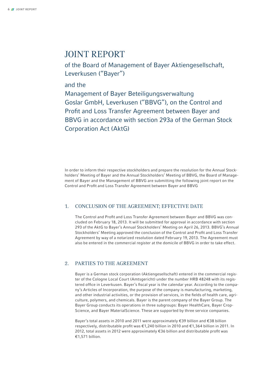# JOINT REPORT

of the Board of Management of Bayer Aktiengesellschaft, Leverkusen ("Bayer")

and the

Management of Bayer Beteiligungsverwaltung Goslar GmbH, Leverkusen ("BBVG"), on the Control and Profit and Loss Transfer Agreement between Bayer and BBVG in accordance with section 293a of the German Stock Corporation Act (AktG)

In order to inform their respective stockholders and prepare the resolution for the Annual Stockholders' Meeting of Bayer and the Annual Stockholders' Meeting of BBVG, the Board of Management of Bayer and the Management of BBVG are submitting the following joint report on the Control and Profit and Loss Transfer Agreement between Bayer and BBVG

#### 1. Conclusion of the Agreement; Effective Date

The Control and Profit and Loss Transfer Agreement between Bayer and BBVG was concluded on February 18, 2013. It will be submitted for approval in accordance with section 293 of the AktG to Bayer's Annual Stockholders' Meeting on April 26, 2013. BBVG's Annual Stockholders' Meeting approved the conclusion of the Control and Profit and Loss Transfer Agreement by way of a notarized resolution dated February 19, 2013. The Agreement must also be entered in the commercial register at the domicile of BBVG in order to take effect.

#### 2. Parties to the Agreement

Bayer is a German stock corporation (Aktiengesellschaft) entered in the commercial register of the Cologne Local Court (Amtsgericht) under the number HRB 48248 with its registered office in Leverkusen. Bayer's fiscal year is the calendar year. According to the company's Articles of Incorporation, the purpose of the company is manufacturing, marketing, and other industrial activities, or the provision of services, in the fields of health care, agriculture, polymers, and chemicals. Bayer is the parent company of the Bayer Group. The Bayer Group conducts its operations in three subgroups: Bayer HealthCare, Bayer Crop-Science, and Bayer MaterialScience. These are supported by three service companies.

Bayer's total assets in 2010 and 2011 were approximately €39 billion and €38 billion respectively, distributable profit was €1,240 billion in 2010 and €1,364 billion in 2011. In 2012, total assets in 2012 were approximately €36 billion and distributable profit was €1,571 billion.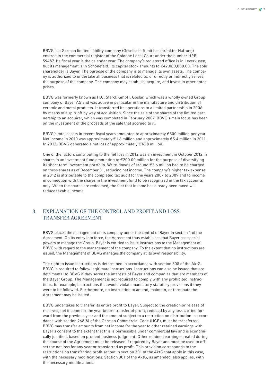BBVG is a German limited liability company (Gesellschaft mit beschränkter Haftung) entered in the commercial register of the Cologne Local Court under the number HRB 59487. Its fiscal year is the calendar year. The company's registered office is in Leverkusen, but its management is in Schönefeld. Its capital stock amounts to €42,000,000.00. The sole shareholder is Bayer. The purpose of the company is to manage its own assets. The company is authorized to undertake all business that is related to, or directly or indirectly serves, the purpose of the company. The company may establish, acquire, and invest in other enterprises.

BBVG was formerly known as H.C. Starck GmbH, Goslar, which was a wholly owned Group company of Bayer AG and was active in particular in the manufacture and distribution of ceramic and metal products. It transferred its operations to a limited partnership in 2006 by means of a spin-off by way of acquisition. Since the sale of the shares of the limited partnership to an acquirer, which was completed in February 2007, BBVG's main focus has been on the investment of the proceeds of the sale that accrued to it.

BBVG's total assets in recent fiscal years amounted to approximately €500 million per year. Net income in 2010 was approximately €1.6 million and approximately €5.4 million in 2011. In 2012, BBVG generated a net loss of approximately €16.8 million.

One of the factors contributing to the net loss in 2012 was an investment in October 2012 in shares in an investment fund amounting to €200.00 million for the purpose of diversifying its short-term investment portfolio. Write-downs of around €3.6 million had to be charged on these shares as of December 31, reducing net income. The company's higher tax expense in 2012 is attributable to the completed tax audit for the years 2007 to 2009 and to income in connection with the shares in the investment fund to be recognized in the tax accounts only. When the shares are redeemed, the fact that income has already been taxed will reduce taxable income.

#### 3. Explanation of the Control and Profit and Loss Transfer Agreement

BBVG places the management of its company under the control of Bayer in section 1 of the Agreement. On its entry into force, the Agreement thus establishes that Bayer has special powers to manage the Group. Bayer is entitled to issue instructions to the Management of BBVG with regard to the management of the company. To the extent that no instructions are issued, the Management of BBVG manages the company at its own responsibility.

The right to issue instructions is determined in accordance with section 308 of the AktG. BBVG is required to follow legitimate instructions. Instructions can also be issued that are detrimental to BBVG if they serve the interests of Bayer and companies that are members of the Bayer Group. The Management is not required to comply with any prohibited instructions, for example, instructions that would violate mandatory statutory provisions if they were to be followed. Furthermore, no instruction to amend, maintain, or terminate the Agreement may be issued.

BBVG undertakes to transfer its entire profit to Bayer. Subject to the creation or release of reserves, net income for the year before transfer of profit, reduced by any loss carried forward from the previous year and the amount subject to a restriction on distribution in accordance with section 268(8) of the German Commercial Code (HGB), must be transferred. BBVG may transfer amounts from net income for the year to other retained earnings with Bayer's consent to the extent that this is permissible under commercial law and is economically justified, based on prudent business judgment. Other retained earnings created during the course of the Agreement must be released if required by Bayer and must be used to offset the net loss for any year or transferred as profit. This provision corresponds to the restrictions on transferring profit set out in section 301 of the AktG that apply in this case, with the necessary modifications. Section 301 of the AktG, as amended, also applies, with the necessary modifications.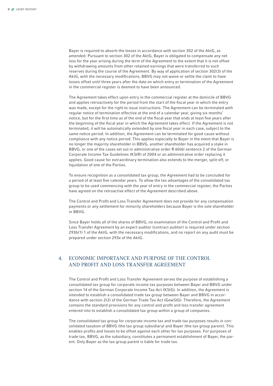Bayer is required to absorb the losses in accordance with section 302 of the AktG, as amended. Pursuant to section 302 of the AktG, Bayer is obligated to compensate any net loss for the year arising during the term of the Agreement to the extent that it is not offset by withdrawing amounts from other retained earnings that were transferred to such reserves during the course of the Agreement. By way of application of section 302(3) of the AktG, with the necessary modifications, BBVG may not waive or settle the claim to have losses offset until three years after the date on which entry or termination of the Agreement in the commercial register is deemed to have been announced.

The Agreement takes effect upon entry in the commercial register at the domicile of BBVG and applies retroactively for the period from the start of the fiscal year in which the entry was made, except for the right to issue instructions. The Agreement can be terminated with regular notice of termination effective at the end of a calendar year, giving six months' notice, but for the first time as of the end of the fiscal year that ends at least five years after the beginning of the fiscal year in which the Agreement takes effect. If the Agreement is not terminated, it will be automatically extended by one fiscal year in each case, subject to the same notice period. In addition, the Agreement can be terminated for good cause without compliance with any notice period. This applies especially to Bayer in the event that Bayer is no longer the majority shareholder in BBVG, another shareholder has acquired a stake in BBVG, or one of the cases set out in administrative order R 60(6) sentence 2 of the German Corporate Income Tax Guidelines (KStR) of 2004 or an administrative order replacing it applies. Good cause for extraordinary termination also extends to the merger, split-off, or liquidation of one of the Parties.

To ensure recognition as a consolidated tax group, the Agreement had to be concluded for a period of at least five calendar years. To allow the tax advantages of the consolidated tax group to be used commencing with the year of entry in the commercial register, the Parties have agreed on the retroactive effect of the Agreement described above.

The Control and Profit and Loss Transfer Agreement does not provide for any compensation payments or any settlement for minority shareholders because Bayer is the sole shareholder in BBVG.

Since Bayer holds all of the shares of BBVG, no examination of the Control and Profit and Loss Transfer Agreement by an expert auditor (contract auditor) is required under section 293b(1) 1 of the AktG, with the necessary modifications, and no report on any audit must be prepared under section 293e of the AktG.

#### 4. Economic Importance and Purpose of the Control and Profit and Loss Transfer Agreement

The Control and Profit and Loss Transfer Agreement serves the purpose of establishing a consolidated tax group for corporate income tax purposes between Bayer and BBVG under section 14 of the German Corporate Income Tax Act (KStG). In addition, the Agreement is intended to establish a consolidated trade tax group between Bayer and BBVG in accordance with section 2(2) of the German Trade Tax Act (GewStG). Therefore, the Agreement contains the standard provisions for any control and profit and loss transfer agreement entered into to establish a consolidated tax group within a group of companies.

The consolidated tax group for corporate income tax and trade tax purposes results in consolidated taxation of BBVG (the tax group subsidiary) and Bayer (the tax group parent). This enables profits and losses to be offset against each other for tax purposes. For purposes of trade tax, BBVG, as the subsidiary, constitutes a permanent establishment of Bayer, the parent. Only Bayer as the tax group parent is liable for trade tax.